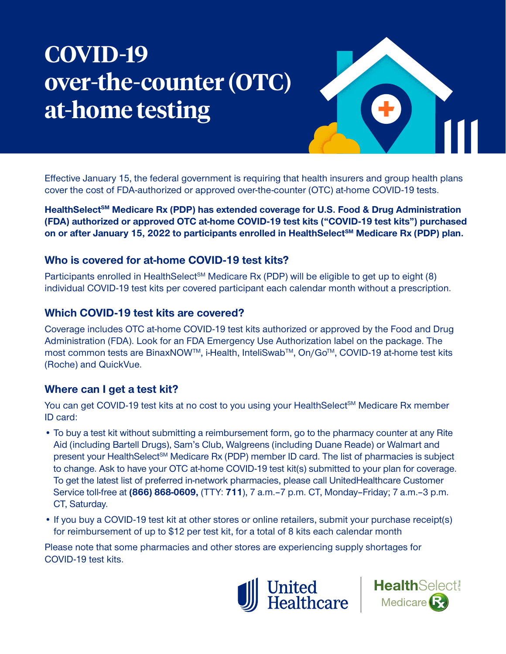# **COVID-19 over-the-counter (OTC) at-home testing**



Effective January 15, the federal government is requiring that health insurers and group health plans cover the cost of FDA-authorized or approved over-the-counter (OTC) at-home COVID-19 tests.

HealthSelect<sup>SM</sup> Medicare Rx (PDP) has extended coverage for U.S. Food & Drug Administration **(FDA) authorized or approved OTC at-home COVID-19 test kits ("COVID-19 test kits") purchased**  on or after January 15, 2022 to participants enrolled in HealthSelect<sup>sM</sup> Medicare Rx (PDP) plan.

## **Who is covered for at-home COVID-19 test kits?**

Participants enrolled in HealthSelect<sup>SM</sup> Medicare Rx (PDP) will be eligible to get up to eight (8) individual COVID-19 test kits per covered participant each calendar month without a prescription.

## **Which COVID-19 test kits are covered?**

Coverage includes OTC at-home COVID-19 test kits authorized or approved by the Food and Drug Administration (FDA). Look for an FDA Emergency Use Authorization label on the package. The most common tests are BinaxNOW™, i-Health, InteliSwab™, On/Go™, COVID-19 at-home test kits (Roche) and QuickVue.

# **Where can I get a test kit?**

You can get COVID-19 test kits at no cost to you using your HealthSelect<sup>SM</sup> Medicare Rx member ID card:

- To buy a test kit without submitting a reimbursement form, go to the pharmacy counter at any Rite Aid (including Bartell Drugs), Sam's Club, Walgreens (including Duane Reade) or Walmart and present your HealthSelect<sup>SM</sup> Medicare Rx (PDP) member ID card. The list of pharmacies is subject to change. Ask to have your OTC at-home COVID-19 test kit(s) submitted to your plan for coverage. To get the latest list of preferred in-network pharmacies, please call UnitedHealthcare Customer Service toll-free at **(866) 868-0609,** (TTY: **711**), 7 a.m.–7 p.m. CT, Monday–Friday; 7 a.m.–3 p.m. CT, Saturday.
- If you buy a COVID-19 test kit at other stores or online retailers, submit your purchase receipt(s) for reimbursement of up to \$12 per test kit, for a total of 8 kits each calendar month

Please note that some pharmacies and other stores are experiencing supply shortages for COVID-19 test kits.